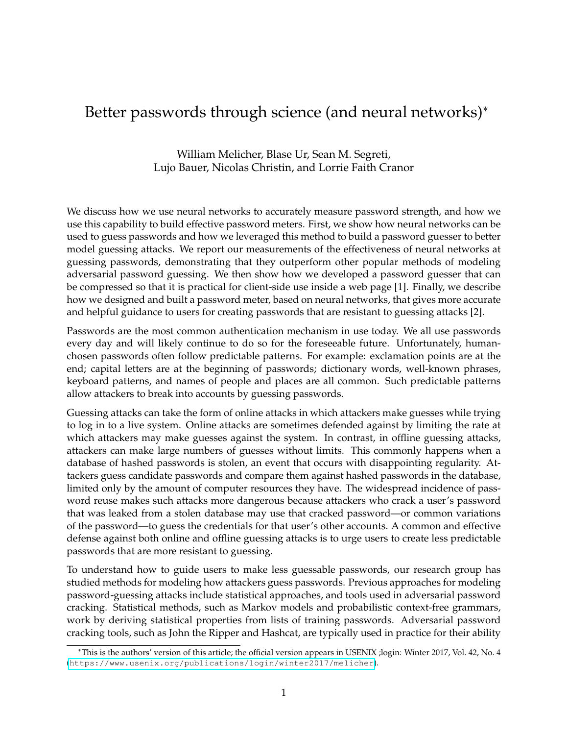# Better passwords through science (and neural networks)<sup>∗</sup>

William Melicher, Blase Ur, Sean M. Segreti, Lujo Bauer, Nicolas Christin, and Lorrie Faith Cranor

We discuss how we use neural networks to accurately measure password strength, and how we use this capability to build effective password meters. First, we show how neural networks can be used to guess passwords and how we leveraged this method to build a password guesser to better model guessing attacks. We report our measurements of the effectiveness of neural networks at guessing passwords, demonstrating that they outperform other popular methods of modeling adversarial password guessing. We then show how we developed a password guesser that can be compressed so that it is practical for client-side use inside a web page [1]. Finally, we describe how we designed and built a password meter, based on neural networks, that gives more accurate and helpful guidance to users for creating passwords that are resistant to guessing attacks [2].

Passwords are the most common authentication mechanism in use today. We all use passwords every day and will likely continue to do so for the foreseeable future. Unfortunately, humanchosen passwords often follow predictable patterns. For example: exclamation points are at the end; capital letters are at the beginning of passwords; dictionary words, well-known phrases, keyboard patterns, and names of people and places are all common. Such predictable patterns allow attackers to break into accounts by guessing passwords.

Guessing attacks can take the form of online attacks in which attackers make guesses while trying to log in to a live system. Online attacks are sometimes defended against by limiting the rate at which attackers may make guesses against the system. In contrast, in offline guessing attacks, attackers can make large numbers of guesses without limits. This commonly happens when a database of hashed passwords is stolen, an event that occurs with disappointing regularity. Attackers guess candidate passwords and compare them against hashed passwords in the database, limited only by the amount of computer resources they have. The widespread incidence of password reuse makes such attacks more dangerous because attackers who crack a user's password that was leaked from a stolen database may use that cracked password—or common variations of the password—to guess the credentials for that user's other accounts. A common and effective defense against both online and offline guessing attacks is to urge users to create less predictable passwords that are more resistant to guessing.

To understand how to guide users to make less guessable passwords, our research group has studied methods for modeling how attackers guess passwords. Previous approaches for modeling password-guessing attacks include statistical approaches, and tools used in adversarial password cracking. Statistical methods, such as Markov models and probabilistic context-free grammars, work by deriving statistical properties from lists of training passwords. Adversarial password cracking tools, such as John the Ripper and Hashcat, are typically used in practice for their ability

<sup>∗</sup>This is the authors' version of this article; the official version appears in USENIX ;login: Winter 2017, Vol. 42, No. 4 (<https://www.usenix.org/publications/login/winter2017/melicher>).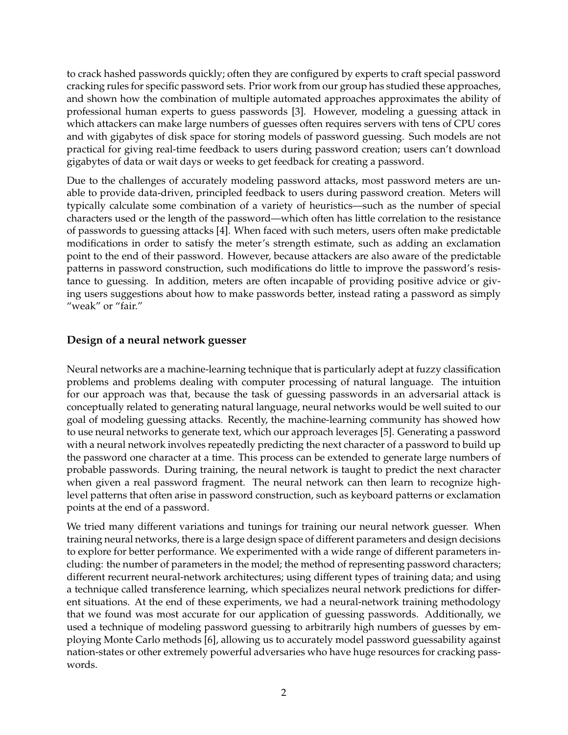to crack hashed passwords quickly; often they are configured by experts to craft special password cracking rules for specific password sets. Prior work from our group has studied these approaches, and shown how the combination of multiple automated approaches approximates the ability of professional human experts to guess passwords [3]. However, modeling a guessing attack in which attackers can make large numbers of guesses often requires servers with tens of CPU cores and with gigabytes of disk space for storing models of password guessing. Such models are not practical for giving real-time feedback to users during password creation; users can't download gigabytes of data or wait days or weeks to get feedback for creating a password.

Due to the challenges of accurately modeling password attacks, most password meters are unable to provide data-driven, principled feedback to users during password creation. Meters will typically calculate some combination of a variety of heuristics—such as the number of special characters used or the length of the password—which often has little correlation to the resistance of passwords to guessing attacks [4]. When faced with such meters, users often make predictable modifications in order to satisfy the meter's strength estimate, such as adding an exclamation point to the end of their password. However, because attackers are also aware of the predictable patterns in password construction, such modifications do little to improve the password's resistance to guessing. In addition, meters are often incapable of providing positive advice or giving users suggestions about how to make passwords better, instead rating a password as simply "weak" or "fair."

# **Design of a neural network guesser**

Neural networks are a machine-learning technique that is particularly adept at fuzzy classification problems and problems dealing with computer processing of natural language. The intuition for our approach was that, because the task of guessing passwords in an adversarial attack is conceptually related to generating natural language, neural networks would be well suited to our goal of modeling guessing attacks. Recently, the machine-learning community has showed how to use neural networks to generate text, which our approach leverages [5]. Generating a password with a neural network involves repeatedly predicting the next character of a password to build up the password one character at a time. This process can be extended to generate large numbers of probable passwords. During training, the neural network is taught to predict the next character when given a real password fragment. The neural network can then learn to recognize highlevel patterns that often arise in password construction, such as keyboard patterns or exclamation points at the end of a password.

We tried many different variations and tunings for training our neural network guesser. When training neural networks, there is a large design space of different parameters and design decisions to explore for better performance. We experimented with a wide range of different parameters including: the number of parameters in the model; the method of representing password characters; different recurrent neural-network architectures; using different types of training data; and using a technique called transference learning, which specializes neural network predictions for different situations. At the end of these experiments, we had a neural-network training methodology that we found was most accurate for our application of guessing passwords. Additionally, we used a technique of modeling password guessing to arbitrarily high numbers of guesses by employing Monte Carlo methods [6], allowing us to accurately model password guessability against nation-states or other extremely powerful adversaries who have huge resources for cracking passwords.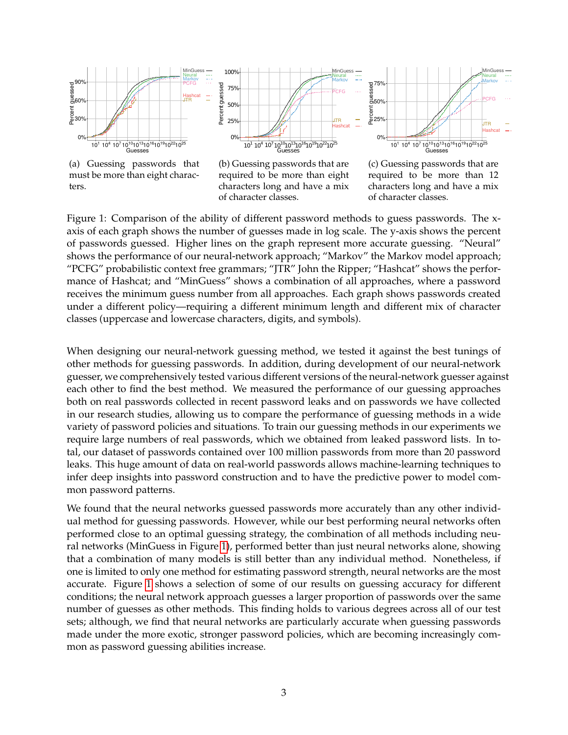<span id="page-2-0"></span>

(a) Guessing passwords that must be more than eight characters.

(b) Guessing passwords that are required to be more than eight characters long and have a mix of character classes.

(c) Guessing passwords that are required to be more than 12 characters long and have a mix of character classes.

Figure 1: Comparison of the ability of different password methods to guess passwords. The xaxis of each graph shows the number of guesses made in log scale. The y-axis shows the percent of passwords guessed. Higher lines on the graph represent more accurate guessing. "Neural" shows the performance of our neural-network approach; "Markov" the Markov model approach; "PCFG" probabilistic context free grammars; "JTR" John the Ripper; "Hashcat" shows the performance of Hashcat; and "MinGuess" shows a combination of all approaches, where a password receives the minimum guess number from all approaches. Each graph shows passwords created under a different policy—requiring a different minimum length and different mix of character classes (uppercase and lowercase characters, digits, and symbols).

When designing our neural-network guessing method, we tested it against the best tunings of other methods for guessing passwords. In addition, during development of our neural-network guesser, we comprehensively tested various different versions of the neural-network guesser against each other to find the best method. We measured the performance of our guessing approaches both on real passwords collected in recent password leaks and on passwords we have collected in our research studies, allowing us to compare the performance of guessing methods in a wide variety of password policies and situations. To train our guessing methods in our experiments we require large numbers of real passwords, which we obtained from leaked password lists. In total, our dataset of passwords contained over 100 million passwords from more than 20 password leaks. This huge amount of data on real-world passwords allows machine-learning techniques to infer deep insights into password construction and to have the predictive power to model common password patterns.

We found that the neural networks guessed passwords more accurately than any other individual method for guessing passwords. However, while our best performing neural networks often performed close to an optimal guessing strategy, the combination of all methods including neural networks (MinGuess in Figure [1\)](#page-2-0), performed better than just neural networks alone, showing that a combination of many models is still better than any individual method. Nonetheless, if one is limited to only one method for estimating password strength, neural networks are the most accurate. Figure [1](#page-2-0) shows a selection of some of our results on guessing accuracy for different conditions; the neural network approach guesses a larger proportion of passwords over the same number of guesses as other methods. This finding holds to various degrees across all of our test sets; although, we find that neural networks are particularly accurate when guessing passwords made under the more exotic, stronger password policies, which are becoming increasingly common as password guessing abilities increase.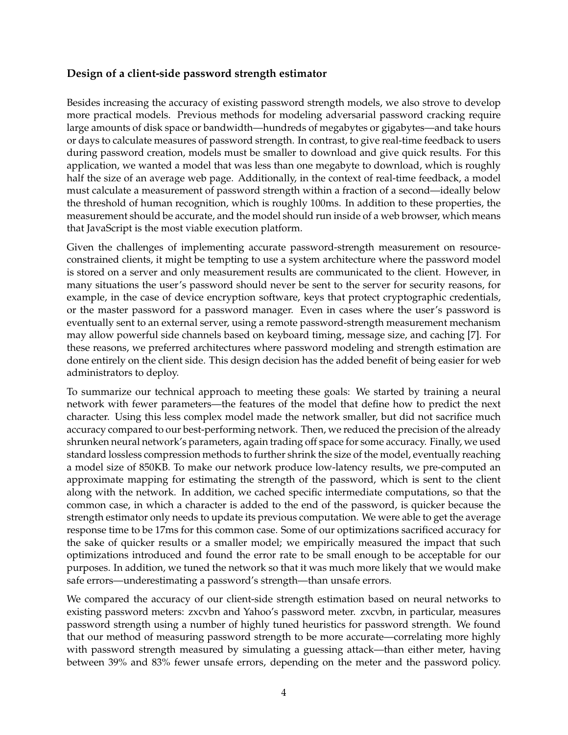# **Design of a client-side password strength estimator**

Besides increasing the accuracy of existing password strength models, we also strove to develop more practical models. Previous methods for modeling adversarial password cracking require large amounts of disk space or bandwidth—hundreds of megabytes or gigabytes—and take hours or days to calculate measures of password strength. In contrast, to give real-time feedback to users during password creation, models must be smaller to download and give quick results. For this application, we wanted a model that was less than one megabyte to download, which is roughly half the size of an average web page. Additionally, in the context of real-time feedback, a model must calculate a measurement of password strength within a fraction of a second—ideally below the threshold of human recognition, which is roughly 100ms. In addition to these properties, the measurement should be accurate, and the model should run inside of a web browser, which means that JavaScript is the most viable execution platform.

Given the challenges of implementing accurate password-strength measurement on resourceconstrained clients, it might be tempting to use a system architecture where the password model is stored on a server and only measurement results are communicated to the client. However, in many situations the user's password should never be sent to the server for security reasons, for example, in the case of device encryption software, keys that protect cryptographic credentials, or the master password for a password manager. Even in cases where the user's password is eventually sent to an external server, using a remote password-strength measurement mechanism may allow powerful side channels based on keyboard timing, message size, and caching [7]. For these reasons, we preferred architectures where password modeling and strength estimation are done entirely on the client side. This design decision has the added benefit of being easier for web administrators to deploy.

To summarize our technical approach to meeting these goals: We started by training a neural network with fewer parameters—the features of the model that define how to predict the next character. Using this less complex model made the network smaller, but did not sacrifice much accuracy compared to our best-performing network. Then, we reduced the precision of the already shrunken neural network's parameters, again trading off space for some accuracy. Finally, we used standard lossless compression methods to further shrink the size of the model, eventually reaching a model size of 850KB. To make our network produce low-latency results, we pre-computed an approximate mapping for estimating the strength of the password, which is sent to the client along with the network. In addition, we cached specific intermediate computations, so that the common case, in which a character is added to the end of the password, is quicker because the strength estimator only needs to update its previous computation. We were able to get the average response time to be 17ms for this common case. Some of our optimizations sacrificed accuracy for the sake of quicker results or a smaller model; we empirically measured the impact that such optimizations introduced and found the error rate to be small enough to be acceptable for our purposes. In addition, we tuned the network so that it was much more likely that we would make safe errors—underestimating a password's strength—than unsafe errors.

We compared the accuracy of our client-side strength estimation based on neural networks to existing password meters: zxcvbn and Yahoo's password meter. zxcvbn, in particular, measures password strength using a number of highly tuned heuristics for password strength. We found that our method of measuring password strength to be more accurate—correlating more highly with password strength measured by simulating a guessing attack—than either meter, having between 39% and 83% fewer unsafe errors, depending on the meter and the password policy.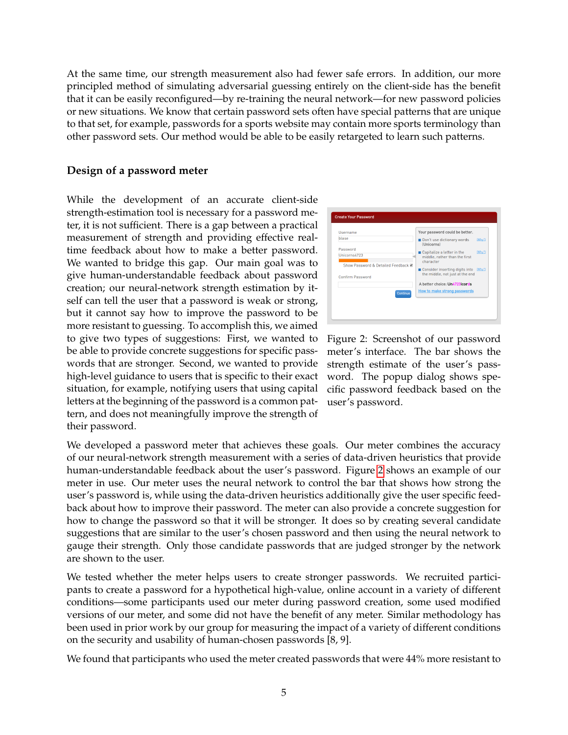At the same time, our strength measurement also had fewer safe errors. In addition, our more principled method of simulating adversarial guessing entirely on the client-side has the benefit that it can be easily reconfigured—by re-training the neural network—for new password policies or new situations. We know that certain password sets often have special patterns that are unique to that set, for example, passwords for a sports website may contain more sports terminology than other password sets. Our method would be able to be easily retargeted to learn such patterns.

#### **Design of a password meter**

While the development of an accurate client-side strength-estimation tool is necessary for a password meter, it is not sufficient. There is a gap between a practical measurement of strength and providing effective realtime feedback about how to make a better password. We wanted to bridge this gap. Our main goal was to give human-understandable feedback about password creation; our neural-network strength estimation by itself can tell the user that a password is weak or strong, but it cannot say how to improve the password to be more resistant to guessing. To accomplish this, we aimed to give two types of suggestions: First, we wanted to be able to provide concrete suggestions for specific passwords that are stronger. Second, we wanted to provide high-level guidance to users that is specific to their exact situation, for example, notifying users that using capital letters at the beginning of the password is a common pattern, and does not meaningfully improve the strength of their password.

<span id="page-4-0"></span>

Figure 2: Screenshot of our password meter's interface. The bar shows the strength estimate of the user's password. The popup dialog shows specific password feedback based on the user's password.

We developed a password meter that achieves these goals. Our meter combines the accuracy of our neural-network strength measurement with a series of data-driven heuristics that provide human-understandable feedback about the user's password. Figure [2](#page-4-0) shows an example of our meter in use. Our meter uses the neural network to control the bar that shows how strong the user's password is, while using the data-driven heuristics additionally give the user specific feedback about how to improve their password. The meter can also provide a concrete suggestion for how to change the password so that it will be stronger. It does so by creating several candidate suggestions that are similar to the user's chosen password and then using the neural network to gauge their strength. Only those candidate passwords that are judged stronger by the network are shown to the user.

We tested whether the meter helps users to create stronger passwords. We recruited participants to create a password for a hypothetical high-value, online account in a variety of different conditions—some participants used our meter during password creation, some used modified versions of our meter, and some did not have the benefit of any meter. Similar methodology has been used in prior work by our group for measuring the impact of a variety of different conditions on the security and usability of human-chosen passwords [8, 9].

We found that participants who used the meter created passwords that were 44% more resistant to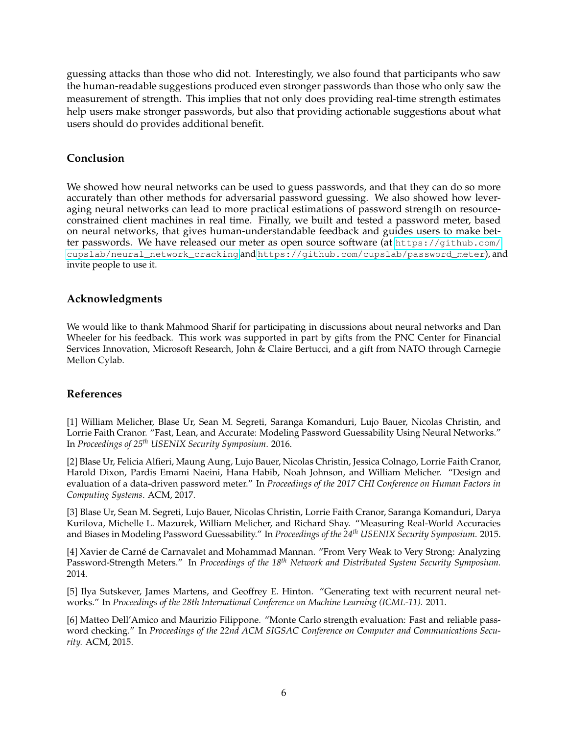guessing attacks than those who did not. Interestingly, we also found that participants who saw the human-readable suggestions produced even stronger passwords than those who only saw the measurement of strength. This implies that not only does providing real-time strength estimates help users make stronger passwords, but also that providing actionable suggestions about what users should do provides additional benefit.

## **Conclusion**

We showed how neural networks can be used to guess passwords, and that they can do so more accurately than other methods for adversarial password guessing. We also showed how leveraging neural networks can lead to more practical estimations of password strength on resourceconstrained client machines in real time. Finally, we built and tested a password meter, based on neural networks, that gives human-understandable feedback and guides users to make better passwords. We have released our meter as open source software (at [https://github.com/](https://github.com/cupslab/neural_network_cracking) [cupslab/neural\\_network\\_cracking](https://github.com/cupslab/neural_network_cracking) and [https://github.com/cupslab/password\\_meter](https://github.com/cupslab/password_meter)), and invite people to use it.

## **Acknowledgments**

We would like to thank Mahmood Sharif for participating in discussions about neural networks and Dan Wheeler for his feedback. This work was supported in part by gifts from the PNC Center for Financial Services Innovation, Microsoft Research, John & Claire Bertucci, and a gift from NATO through Carnegie Mellon Cylab.

## **References**

[1] William Melicher, Blase Ur, Sean M. Segreti, Saranga Komanduri, Lujo Bauer, Nicolas Christin, and Lorrie Faith Cranor. "Fast, Lean, and Accurate: Modeling Password Guessability Using Neural Networks." In *Proceedings of 25th USENIX Security Symposium*. 2016.

[2] Blase Ur, Felicia Alfieri, Maung Aung, Lujo Bauer, Nicolas Christin, Jessica Colnago, Lorrie Faith Cranor, Harold Dixon, Pardis Emami Naeini, Hana Habib, Noah Johnson, and William Melicher. "Design and evaluation of a data-driven password meter." In *Proceedings of the 2017 CHI Conference on Human Factors in Computing Systems*. ACM, 2017.

[3] Blase Ur, Sean M. Segreti, Lujo Bauer, Nicolas Christin, Lorrie Faith Cranor, Saranga Komanduri, Darya Kurilova, Michelle L. Mazurek, William Melicher, and Richard Shay. "Measuring Real-World Accuracies and Biases in Modeling Password Guessability." In *Proceedings of the 24th USENIX Security Symposium*. 2015.

[4] Xavier de Carné de Carnavalet and Mohammad Mannan. "From Very Weak to Very Strong: Analyzing Password-Strength Meters." In *Proceedings of the 18th Network and Distributed System Security Symposium.* 2014.

[5] Ilya Sutskever, James Martens, and Geoffrey E. Hinton. "Generating text with recurrent neural networks." In *Proceedings of the 28th International Conference on Machine Learning (ICML-11).* 2011.

[6] Matteo Dell'Amico and Maurizio Filippone. "Monte Carlo strength evaluation: Fast and reliable password checking." In *Proceedings of the 22nd ACM SIGSAC Conference on Computer and Communications Security.* ACM, 2015.